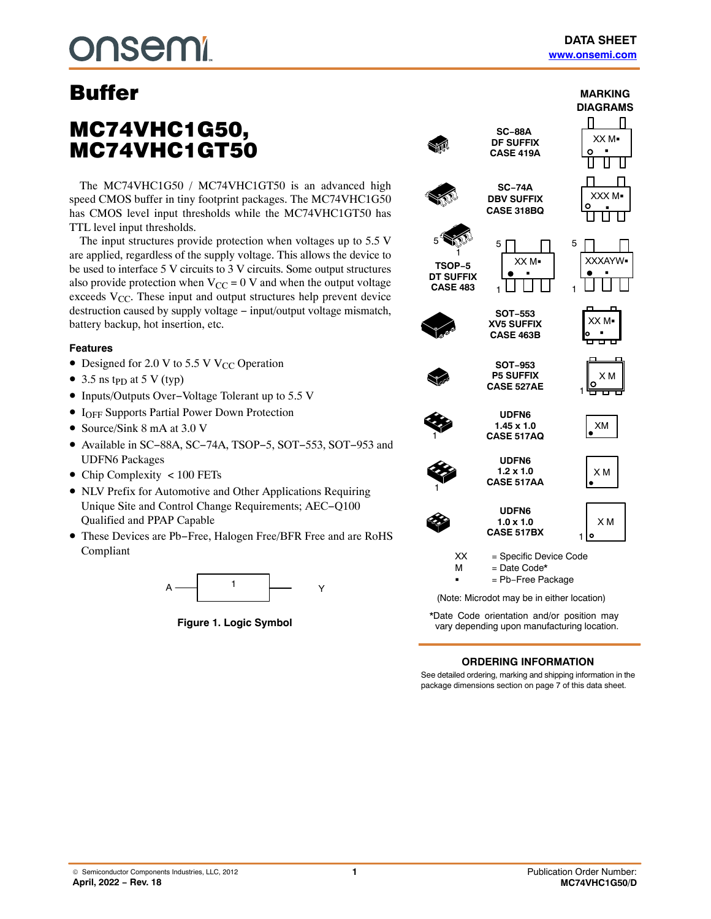# **nsemi**

## MC74VHC1G50, MC74VHC1GT50

The MC74VHC1G50 / MC74VHC1GT50 is an advanced high speed CMOS buffer in tiny footprint packages. The MC74VHC1G50 has CMOS level input thresholds while the MC74VHC1GT50 has TTL level input thresholds.

The input structures provide protection when voltages up to 5.5 V are applied, regardless of the supply voltage. This allows the device to be used to interface 5 V circuits to 3 V circuits. Some output structures also provide protection when  $V_{CC} = 0$  V and when the output voltage exceeds  $V_{CC}$ . These input and output structures help prevent device destruction caused by supply voltage − input/output voltage mismatch, battery backup, hot insertion, etc.

### **Features**

- Designed for 2.0 V to 5.5 V V<sub>CC</sub> Operation
- 3.5 ns t<sub>PD</sub> at 5 V (typ)
- Inputs/Outputs Over−Voltage Tolerant up to 5.5 V
- I<sub>OFF</sub> Supports Partial Power Down Protection
- Source/Sink 8 mA at 3.0 V
- Available in SC−88A, SC−74A, TSOP−5, SOT−553, SOT−953 and UDFN6 Packages
- Chip Complexity < 100 FETs
- NLV Prefix for Automotive and Other Applications Requiring Unique Site and Control Change Requirements; AEC−Q100 Qualified and PPAP Capable
- These Devices are Pb−Free, Halogen Free/BFR Free and are RoHS Compliant



**Figure 1. Logic Symbol**



\*Date Code orientation and/or position may vary depending upon manufacturing location.

## **ORDERING INFORMATION**

See detailed ordering, marking and shipping information in the package dimensions section on page [7](#page-6-0) of this data sheet.

**MARKING DIAGRAMS**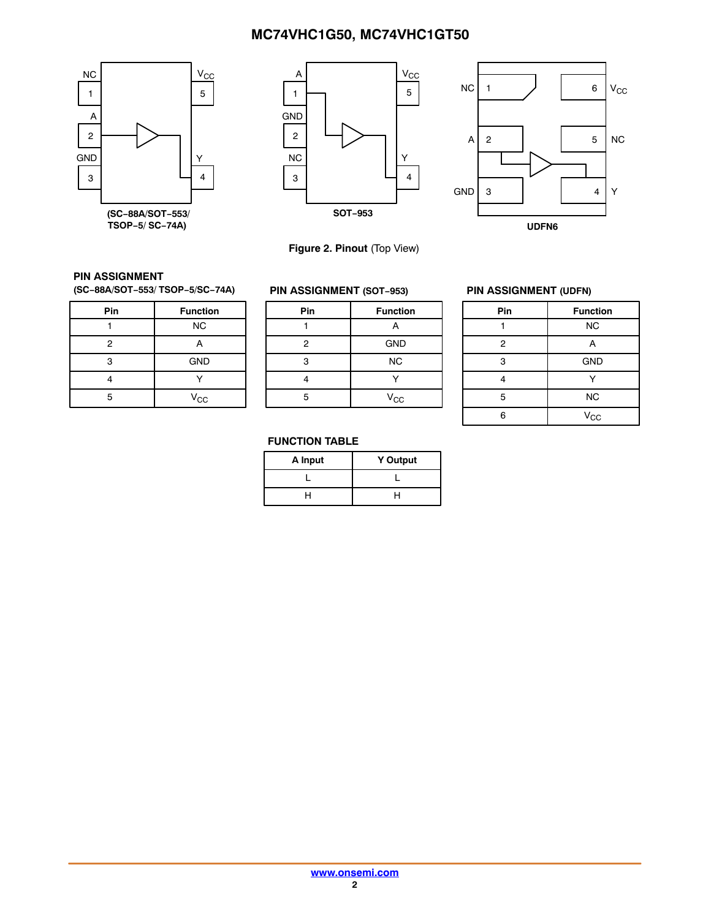



**Figure 2. Pinout** (Top View)



### **PIN ASSIGNMENT**

**(SC−88A/SOT−553/ TSOP−5/SC−74A)**

| Pin            | <b>Function</b> |
|----------------|-----------------|
|                | <b>NC</b>       |
| $\overline{2}$ | А               |
| 3              | <b>GND</b>      |
|                |                 |
| г,             | $V_{CC}$        |

## **PIN ASSIGNMENT (SOT−953)**

| Pin | <b>Function</b> |
|-----|-----------------|
|     | А               |
| 2   | <b>GND</b>      |
| 3   | <b>NC</b>       |
|     |                 |
| 5   | $V_{CC}$        |
|     |                 |

#### **PIN ASSIGNMENT (UDFN)**

| Pin            | <b>Function</b> |
|----------------|-----------------|
|                | <b>NC</b>       |
| $\overline{2}$ | А               |
| 3              | <b>GND</b>      |
|                |                 |
| 5              | <b>NC</b>       |
| <b>G</b>       | $V_{\rm CC}$    |

## **FUNCTION TABLE**

| A Input | <b>Y Output</b> |
|---------|-----------------|
|         |                 |
|         |                 |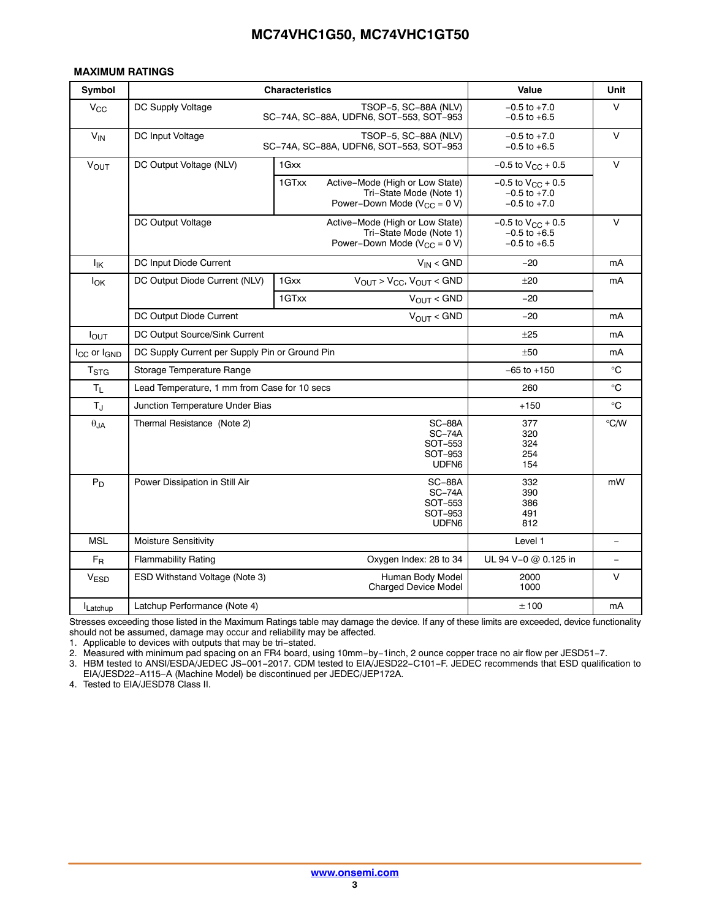## <span id="page-2-0"></span>**MAXIMUM RATINGS**

| Symbol                              | <b>Characteristics</b>                         | Value                                                                                                    | Unit                                                             |             |
|-------------------------------------|------------------------------------------------|----------------------------------------------------------------------------------------------------------|------------------------------------------------------------------|-------------|
| $V_{\rm CC}$                        | DC Supply Voltage                              | TSOP-5, SC-88A (NLV)<br>SC-74A, SC-88A, UDFN6, SOT-553, SOT-953                                          | $-0.5$ to $+7.0$<br>$-0.5$ to $+6.5$                             | V           |
| $V_{IN}$                            | DC Input Voltage                               | TSOP-5, SC-88A (NLV)<br>SC-74A, SC-88A, UDFN6, SOT-553, SOT-953                                          | $-0.5$ to $+7.0$<br>$-0.5$ to $+6.5$                             | $\vee$      |
| $V_{OUT}$                           | DC Output Voltage (NLV)                        | 1 Gxx                                                                                                    | $-0.5$ to $V_{CC}$ + 0.5                                         | $\vee$      |
|                                     |                                                | 1GTxx<br>Active-Mode (High or Low State)<br>Tri-State Mode (Note 1)<br>Power–Down Mode ( $V_{CC}$ = 0 V) | $-0.5$ to $V_{CC}$ + 0.5<br>$-0.5$ to $+7.0$<br>$-0.5$ to $+7.0$ |             |
|                                     | DC Output Voltage                              | $-0.5$ to $V_{CC}$ + 0.5<br>$-0.5$ to $+6.5$<br>$-0.5$ to $+6.5$                                         | $\vee$                                                           |             |
| $I_{\mathsf{IK}}$                   | DC Input Diode Current                         | $V_{IN}$ < GND                                                                                           | $-20$                                                            | mA          |
| $I_{OK}$                            | DC Output Diode Current (NLV)                  | $V_{OUT}$ > $V_{CC}$ , $V_{OUT}$ < GND<br>1 Gxx                                                          | ±20                                                              | mA          |
|                                     |                                                | $V_{OUT} < GND$<br>1GTxx                                                                                 | $-20$                                                            |             |
|                                     | DC Output Diode Current                        | $V_{OUT}$ < GND                                                                                          | $-20$                                                            | mA          |
| <b>lout</b>                         | DC Output Source/Sink Current                  |                                                                                                          | ±25                                                              | mA          |
| I <sub>CC</sub> or I <sub>GND</sub> | DC Supply Current per Supply Pin or Ground Pin | ±50                                                                                                      | mA                                                               |             |
| T <sub>STG</sub>                    | Storage Temperature Range                      |                                                                                                          | $-65$ to $+150$                                                  | $^{\circ}C$ |
| Τı.                                 | Lead Temperature, 1 mm from Case for 10 secs   |                                                                                                          | 260                                                              | $^{\circ}C$ |
| $T_{\rm J}$                         | Junction Temperature Under Bias                |                                                                                                          | $+150$                                                           | $^{\circ}C$ |
| $\theta$ JA                         | Thermal Resistance (Note 2)                    | 377<br>320<br>324<br>254<br>154                                                                          | $^{\circ}$ C/W                                                   |             |
| $P_D$                               | Power Dissipation in Still Air                 | 332<br>390<br>386<br>491<br>812                                                                          | mW                                                               |             |
| <b>MSL</b>                          | Moisture Sensitivity                           | Level 1                                                                                                  | $\equiv$                                                         |             |
| $F_R$                               | <b>Flammability Rating</b>                     | UL 94 V-0 @ 0.125 in                                                                                     |                                                                  |             |
| V <sub>ESD</sub>                    | ESD Withstand Voltage (Note 3)                 | Human Body Model<br><b>Charged Device Model</b>                                                          | 2000<br>1000                                                     | V           |
| Latchup                             | Latchup Performance (Note 4)                   |                                                                                                          | ±100                                                             | mA          |

Stresses exceeding those listed in the Maximum Ratings table may damage the device. If any of these limits are exceeded, device functionality should not be assumed, damage may occur and reliability may be affected.

1. Applicable to devices with outputs that may be tri−stated.

2. Measured with minimum pad spacing on an FR4 board, using 10mm−by−1inch, 2 ounce copper trace no air flow per JESD51−7.

3. HBM tested to ANSI/ESDA/JEDEC JS−001−2017. CDM tested to EIA/JESD22−C101−F. JEDEC recommends that ESD qualification to EIA/JESD22−A115−A (Machine Model) be discontinued per JEDEC/JEP172A.

4. Tested to EIA/JESD78 Class II.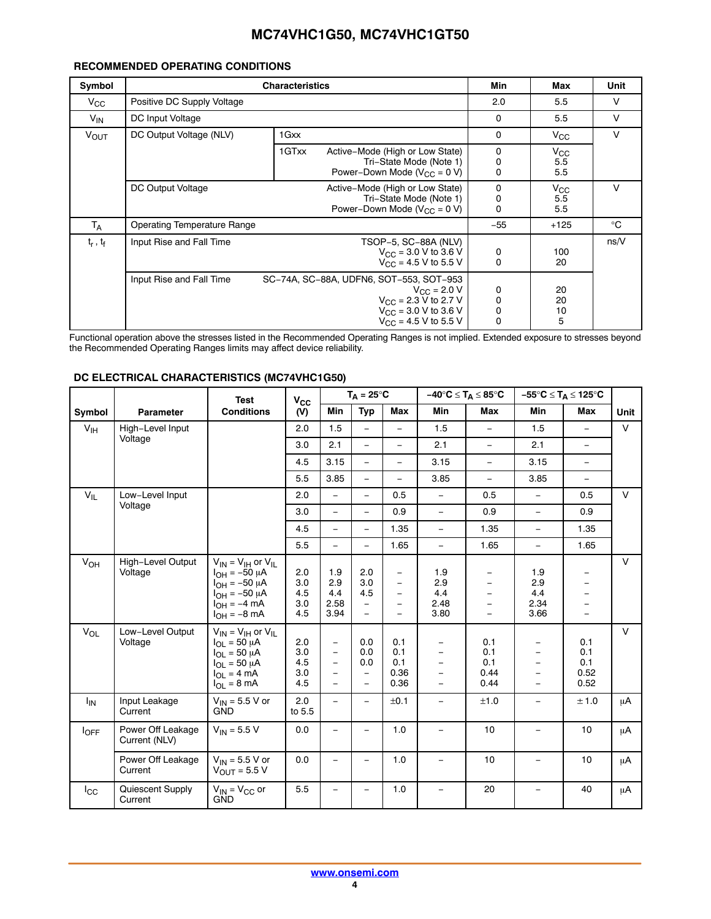## **RECOMMENDED OPERATING CONDITIONS**

| Symbol        |                                    | Min                                                                                                                                                                     | Max                        | Unit                       |        |  |  |
|---------------|------------------------------------|-------------------------------------------------------------------------------------------------------------------------------------------------------------------------|----------------------------|----------------------------|--------|--|--|
| $V_{\rm CC}$  | Positive DC Supply Voltage         |                                                                                                                                                                         |                            |                            |        |  |  |
| $V_{IN}$      | DC Input Voltage                   |                                                                                                                                                                         | $\mathbf 0$                | 5.5                        | $\vee$ |  |  |
| <b>VOUT</b>   | DC Output Voltage (NLV)            | 1 Gxx                                                                                                                                                                   | $\mathbf 0$                | $V_{\rm CC}$               | $\vee$ |  |  |
|               |                                    | 1GTxx<br>Active-Mode (High or Low State)<br>Tri-State Mode (Note 1)<br>Power-Down Mode ( $V_{CC} = 0 V$ )                                                               | 0<br>0<br>0                | $V_{\rm CC}$<br>5.5<br>5.5 |        |  |  |
|               | DC Output Voltage                  | Active-Mode (High or Low State)<br>Tri-State Mode (Note 1)<br>Power–Down Mode ( $V_{CC}$ = 0 V)                                                                         | 0<br>0<br>0                | $V_{\rm CC}$<br>5.5<br>5.5 | v      |  |  |
| $T_A$         | <b>Operating Temperature Range</b> |                                                                                                                                                                         | $-55$                      | $+125$                     | °C     |  |  |
| $t_r$ , $t_f$ | Input Rise and Fall Time           | TSOP-5, SC-88A (NLV)<br>$V_{\text{CC}} = 3.0 \text{ V}$ to 3.6 V<br>$V_{\text{CC}} = 4.5 \text{ V}$ to 5.5 V                                                            | 0<br>$\mathbf 0$           | 100<br>20                  | ns/V   |  |  |
|               | Input Rise and Fall Time           | SC-74A, SC-88A, UDFN6, SOT-553, SOT-953<br>$V_{\text{C}C} = 2.0 V$<br>$V_{\text{CC}}$ = 2.3 V to 2.7 V<br>$V_{\text{CC}}$ = 3.0 V to 3.6 V<br>$V_{CC}$ = 4.5 V to 5.5 V | 0<br>0<br>0<br>$\mathbf 0$ | 20<br>20<br>10<br>5        |        |  |  |

Functional operation above the stresses listed in the Recommended Operating Ranges is not implied. Extended exposure to stresses beyond the Recommended Operating Ranges limits may affect device reliability.

|                  |                                    | <b>Test</b>                                                                                                                                           | $V_{\rm CC}$                    |                                                                                                          | $T_A = 25^{\circ}C$                                |                                                             | $-40^{\circ}C \leq T_A \leq 85^{\circ}C$                                                            |                                                                       |                                                                                                    | $-55^{\circ}C \leq T_A \leq 125^{\circ}C$ |             |
|------------------|------------------------------------|-------------------------------------------------------------------------------------------------------------------------------------------------------|---------------------------------|----------------------------------------------------------------------------------------------------------|----------------------------------------------------|-------------------------------------------------------------|-----------------------------------------------------------------------------------------------------|-----------------------------------------------------------------------|----------------------------------------------------------------------------------------------------|-------------------------------------------|-------------|
| Symbol           | <b>Parameter</b>                   | <b>Conditions</b>                                                                                                                                     | (V)                             | Min                                                                                                      | <b>Typ</b>                                         | Max                                                         | Min                                                                                                 | Max                                                                   | <b>Min</b>                                                                                         | Max                                       | <b>Unit</b> |
| V <sub>IH</sub>  | High-Level Input                   |                                                                                                                                                       | 2.0                             | 1.5                                                                                                      | $\equiv$                                           | $\equiv$                                                    | 1.5                                                                                                 | $\overline{\phantom{0}}$                                              | 1.5                                                                                                | $\equiv$                                  | $\vee$      |
|                  | Voltage                            |                                                                                                                                                       | 3.0                             | 2.1                                                                                                      | $\equiv$                                           | $\equiv$                                                    | 2.1                                                                                                 | $\equiv$                                                              | 2.1                                                                                                | $\equiv$                                  |             |
|                  |                                    |                                                                                                                                                       | 4.5                             | 3.15                                                                                                     | $\frac{1}{2}$                                      | $\equiv$                                                    | 3.15                                                                                                | $\equiv$                                                              | 3.15                                                                                               | $\equiv$                                  |             |
|                  |                                    |                                                                                                                                                       | 5.5                             | 3.85                                                                                                     | $\equiv$                                           | $\equiv$                                                    | 3.85                                                                                                | $\equiv$                                                              | 3.85                                                                                               | $\overline{\phantom{a}}$                  |             |
| $V_{IL}$         | Low-Level Input                    |                                                                                                                                                       | 2.0                             | $\equiv$                                                                                                 | $\equiv$                                           | 0.5                                                         | $\equiv$                                                                                            | 0.5                                                                   | $\equiv$                                                                                           | 0.5                                       | $\vee$      |
|                  | Voltage                            |                                                                                                                                                       | 3.0                             | $\overline{\phantom{0}}$                                                                                 | $\equiv$                                           | 0.9                                                         | $\equiv$                                                                                            | 0.9                                                                   | $\frac{1}{2}$                                                                                      | 0.9                                       |             |
|                  |                                    |                                                                                                                                                       | 4.5                             | $\overline{\phantom{0}}$                                                                                 | $\frac{1}{2}$                                      | 1.35                                                        | $\equiv$                                                                                            | 1.35                                                                  | $\equiv$                                                                                           | 1.35                                      |             |
|                  |                                    |                                                                                                                                                       | 5.5                             | $\overline{\phantom{0}}$                                                                                 | $-$                                                | 1.65                                                        | $\equiv$                                                                                            | 1.65                                                                  | $\equiv$                                                                                           | 1.65                                      |             |
| $V_{OH}$         | High-Level Output<br>Voltage       | $V_{IN} = V_{IH}$ or $V_{IL}$<br>$I_{OH} = -50 \mu A$<br>$I_{OH} = -50 \mu A$<br>$I_{OH} = -50 \mu A$<br>$I_{OH} = -4 \text{ mA}$<br>$I_{OH} = -8$ mA | 2.0<br>3.0<br>4.5<br>3.0<br>4.5 | 1.9<br>2.9<br>4.4<br>2.58<br>3.94                                                                        | 2.0<br>3.0<br>4.5<br>$\equiv$<br>$\equiv$          | $\qquad \qquad -$<br>$\equiv$<br>$\equiv$<br>$\equiv$<br>L, | 1.9<br>2.9<br>4.4<br>2.48<br>3.80                                                                   | $\overline{\phantom{0}}$<br>-<br>$\overline{\phantom{m}}$<br>$\equiv$ | 1.9<br>2.9<br>4.4<br>2.34<br>3.66                                                                  | $\qquad \qquad -$<br>$\equiv$<br>$\equiv$ | $\vee$      |
| $V_{OL}$         | Low-Level Output<br>Voltage        | $V_{IN} = V_{IH}$ or $V_{IL}$<br>$I_{\text{OI}} = 50 \mu A$<br>$I_{OL} = 50 \mu A$<br>$I_{OL} = 50 \mu A$<br>$I_{OL} = 4 mA$<br>$I_{\Omega I}$ = 8 mA | 2.0<br>3.0<br>4.5<br>3.0<br>4.5 | $\overline{\phantom{a}}$<br>$\overline{\phantom{m}}$<br>$\overline{\phantom{m}}$<br>$\equiv$<br>$\equiv$ | 0.0<br>0.0<br>0.0<br>$\qquad \qquad -$<br>$\equiv$ | 0.1<br>0.1<br>0.1<br>0.36<br>0.36                           | $\overline{\phantom{0}}$<br>$\qquad \qquad -$<br>$\equiv$<br>$\qquad \qquad -$<br>$\qquad \qquad =$ | 0.1<br>0.1<br>0.1<br>0.44<br>0.44                                     | $\overline{\phantom{0}}$<br>$\overline{\phantom{m}}$<br>$\equiv$<br>$\overline{\phantom{m}}$<br>L. | 0.1<br>0.1<br>0.1<br>0.52<br>0.52         | $\vee$      |
| $I_{IN}$         | Input Leakage<br>Current           | $V_{IN}$ = 5.5 V or<br><b>GND</b>                                                                                                                     | 2.0<br>to 5.5                   |                                                                                                          | -                                                  | ±0.1                                                        | $\qquad \qquad =$                                                                                   | ±1.0                                                                  | $\overline{\phantom{0}}$                                                                           | ± 1.0                                     | μA          |
| $I_{\text{OFF}}$ | Power Off Leakage<br>Current (NLV) | $V_{IN}$ = 5.5 V                                                                                                                                      | 0.0                             | $\overline{\phantom{m}}$                                                                                 | $\overline{\phantom{0}}$                           | 1.0                                                         | $\overline{\phantom{0}}$                                                                            | 10                                                                    | $\overline{\phantom{0}}$                                                                           | 10                                        | μA          |
|                  | Power Off Leakage<br>Current       | $V_{IN}$ = 5.5 V or<br>$V_{OIII}$ = 5.5 V                                                                                                             | 0.0                             | $\overline{\phantom{a}}$                                                                                 | $\equiv$                                           | 1.0                                                         | $\overline{\phantom{a}}$                                                                            | 10                                                                    | $\overline{\phantom{0}}$                                                                           | 10                                        | μA          |
| $I_{\rm CC}$     | Quiescent Supply<br>Current        | $V_{IN} = V_{CC}$ or<br><b>GND</b>                                                                                                                    | 5.5                             |                                                                                                          |                                                    | 1.0                                                         | $\equiv$                                                                                            | 20                                                                    | $\equiv$                                                                                           | 40                                        | μA          |

#### **DC ELECTRICAL CHARACTERISTICS (MC74VHC1G50)**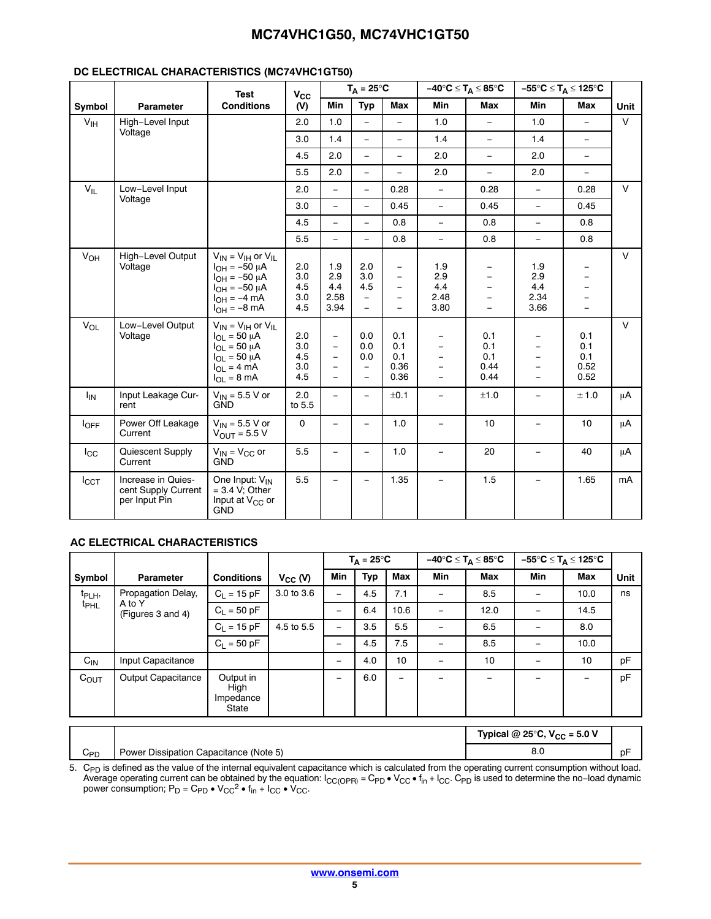## **DC ELECTRICAL CHARACTERISTICS (MC74VHC1GT50)**

|                       |                                                            | <b>Test</b>                                                                                                                                          | $V_{\rm CC}$                    |                                                                                                                                          | $T_A = 25^{\circ}C$                                            |                                                                |                                                                              | $-40^{\circ}C \leq T_A \leq 85^{\circ}C$                                                              |                                                                                                                          | $-55^{\circ}C \leq T_A \leq 125^{\circ}C$                                                           |                |
|-----------------------|------------------------------------------------------------|------------------------------------------------------------------------------------------------------------------------------------------------------|---------------------------------|------------------------------------------------------------------------------------------------------------------------------------------|----------------------------------------------------------------|----------------------------------------------------------------|------------------------------------------------------------------------------|-------------------------------------------------------------------------------------------------------|--------------------------------------------------------------------------------------------------------------------------|-----------------------------------------------------------------------------------------------------|----------------|
| Symbol                | <b>Parameter</b>                                           | <b>Conditions</b>                                                                                                                                    | (V)                             | <b>Min</b>                                                                                                                               | <b>Typ</b>                                                     | Max                                                            | Min                                                                          | Max                                                                                                   | <b>Min</b>                                                                                                               | Max                                                                                                 | Unit           |
| $V_{\text{IH}}$       | High-Level Input                                           |                                                                                                                                                      | 2.0                             | 1.0                                                                                                                                      | $\equiv$                                                       | $\equiv$                                                       | 1.0                                                                          | $\equiv$                                                                                              | 1.0                                                                                                                      | $\overline{\phantom{0}}$                                                                            | $\vee$         |
|                       | Voltage                                                    |                                                                                                                                                      | 3.0                             | 1.4                                                                                                                                      | $\equiv$                                                       | $\equiv$                                                       | 1.4                                                                          | $\equiv$                                                                                              | 1.4                                                                                                                      | $\equiv$                                                                                            |                |
|                       |                                                            |                                                                                                                                                      | 4.5                             | 2.0                                                                                                                                      | $\overline{\phantom{0}}$                                       | ÷,                                                             | 2.0                                                                          | $\overline{\phantom{a}}$                                                                              | 2.0                                                                                                                      | $\overline{\phantom{m}}$                                                                            |                |
|                       |                                                            |                                                                                                                                                      | 5.5                             | 2.0                                                                                                                                      | $\equiv$                                                       | $\equiv$                                                       | 2.0                                                                          | $\equiv$                                                                                              | 2.0                                                                                                                      | $\equiv$                                                                                            |                |
| $V_{IL}$              | Low-Level Input                                            |                                                                                                                                                      | 2.0                             | $\equiv$                                                                                                                                 | $\equiv$                                                       | 0.28                                                           | $\equiv$                                                                     | 0.28                                                                                                  | $\equiv$                                                                                                                 | 0.28                                                                                                | $\vee$         |
|                       | Voltage                                                    |                                                                                                                                                      | 3.0                             | $\equiv$                                                                                                                                 | L.                                                             | 0.45                                                           | $\equiv$                                                                     | 0.45                                                                                                  | $\qquad \qquad -$                                                                                                        | 0.45                                                                                                |                |
|                       |                                                            |                                                                                                                                                      | 4.5                             | $\overline{\phantom{a}}$                                                                                                                 | $\equiv$                                                       | 0.8                                                            | $\equiv$                                                                     | 0.8                                                                                                   | $\equiv$                                                                                                                 | 0.8                                                                                                 |                |
|                       |                                                            |                                                                                                                                                      | 5.5                             | $\overline{\phantom{a}}$                                                                                                                 | $\equiv$                                                       | 0.8                                                            | $\equiv$                                                                     | 0.8                                                                                                   | $\equiv$                                                                                                                 | 0.8                                                                                                 |                |
| V <sub>OH</sub>       | High-Level Output<br>Voltage                               | $V_{IN} = V_{IH}$ or $V_{IL}$<br>$I_{OH} = -50 \mu A$<br>$I_{OH} = -50 \mu A$<br>$I_{OH} = -50 \mu A$<br>$I_{OH} = -4$ mA<br>$I_{OH} = -8$ mA        | 2.0<br>3.0<br>4.5<br>3.0<br>4.5 | 1.9<br>2.9<br>4.4<br>2.58<br>3.94                                                                                                        | 2.0<br>3.0<br>4.5<br>$\equiv$                                  | $\qquad \qquad -$<br>$\equiv$<br>$\equiv$<br>$\qquad \qquad -$ | 1.9<br>2.9<br>4.4<br>2.48<br>3.80                                            | $\overline{\phantom{0}}$<br>$\overline{\phantom{0}}$<br>$\overline{\phantom{0}}$<br>$\qquad \qquad -$ | 1.9<br>2.9<br>4.4<br>2.34<br>3.66                                                                                        | $\qquad \qquad -$<br>$\equiv$<br>$\qquad \qquad -$<br>$\qquad \qquad -$<br>$\overline{\phantom{0}}$ | $\vee$         |
| $V_{OL}$              | Low-Level Output<br>Voltage                                | $V_{IN} = V_{IH}$ or $V_{IL}$<br>$I_{OL}$ = 50 µA<br>$I_{OL}$ = 50 $\mu$ A<br>$I_{\text{OI}} = 50 \mu A$<br>$I_{OL} = 4 mA$<br>$I_{\Omega I}$ = 8 mA | 2.0<br>3.0<br>4.5<br>3.0<br>4.5 | $\overline{\phantom{a}}$<br>$\overline{\phantom{a}}$<br>$\overline{\phantom{m}}$<br>$\overline{\phantom{m}}$<br>$\overline{\phantom{0}}$ | 0.0<br>0.0<br>0.0<br>$\overline{\phantom{0}}$<br>$\frac{1}{2}$ | 0.1<br>0.1<br>0.1<br>0.36<br>0.36                              | $\equiv$<br>$\equiv$<br>$\overline{\phantom{0}}$<br>$\overline{\phantom{0}}$ | 0.1<br>0.1<br>0.1<br>0.44<br>0.44                                                                     | $\overline{\phantom{m}}$<br>$\overline{\phantom{m}}$<br>$\overline{\phantom{m}}$<br>$\overline{\phantom{a}}$<br>$\equiv$ | 0.1<br>0.1<br>0.1<br>0.52<br>0.52                                                                   | $\vee$         |
| <b>I<sub>IN</sub></b> | Input Leakage Cur-<br>rent                                 | $V_{IN}$ = 5.5 V or<br>GND                                                                                                                           | 2.0<br>to 5.5                   | $\equiv$                                                                                                                                 | $\overline{\phantom{0}}$                                       | ±0.1                                                           | $\equiv$                                                                     | ±1.0                                                                                                  | $\frac{1}{2}$                                                                                                            | ±1.0                                                                                                | μA             |
| $I_{OFF}$             | Power Off Leakage<br>Current                               | $V_{IN}$ = 5.5 V or<br>$V_{OIII}$ = 5.5 V                                                                                                            | $\mathbf 0$                     | $\overline{\phantom{a}}$                                                                                                                 | $\equiv$                                                       | 1.0                                                            | $\equiv$                                                                     | 10                                                                                                    | $\frac{1}{2}$                                                                                                            | 10                                                                                                  | μA             |
| $I_{\rm CC}$          | Quiescent Supply<br>Current                                | $V_{IN} = V_{CC}$ or<br><b>GND</b>                                                                                                                   | 5.5                             | $\overline{\phantom{a}}$                                                                                                                 | $\qquad \qquad -$                                              | 1.0                                                            | $\overline{\phantom{m}}$                                                     | 20                                                                                                    | $\overline{\phantom{a}}$                                                                                                 | 40                                                                                                  | μA             |
| $I_{\text{CCT}}$      | Increase in Quies-<br>cent Supply Current<br>per Input Pin | One Input: V <sub>IN</sub><br>$= 3.4$ V: Other<br>Input at V <sub>CC</sub> or<br><b>GND</b>                                                          | 5.5                             | $\overline{\phantom{0}}$                                                                                                                 | $\qquad \qquad -$                                              | 1.35                                                           | $\qquad \qquad -$                                                            | 1.5                                                                                                   | $\equiv$                                                                                                                 | 1.65                                                                                                | m <sub>A</sub> |

### **AC ELECTRICAL CHARACTERISTICS**

|                    |                                          |                                         |              |                          | $T_{\Delta} = 25^{\circ}C$ |                          |                          | $-40^{\circ}C \leq T_A \leq 85^{\circ}C$ |                          | –55°C ≤ T <sub>A</sub> ≤ 125°C |      |
|--------------------|------------------------------------------|-----------------------------------------|--------------|--------------------------|----------------------------|--------------------------|--------------------------|------------------------------------------|--------------------------|--------------------------------|------|
| Symbol             | <b>Parameter</b>                         | <b>Conditions</b>                       | $V_{CC}$ (V) | <b>Min</b>               | Typ                        | Max                      | <b>Min</b>               | <b>Max</b>                               | Min                      | Max                            | Unit |
| t <sub>PLH</sub> , | Propagation Delay,                       | $C_1 = 15 pF$                           | 3.0 to 3.6   |                          | 4.5                        | 7.1                      | $\qquad \qquad -$        | 8.5                                      | $\overline{\phantom{0}}$ | 10.0                           | ns   |
| <sup>t</sup> PHL   | A to Y<br>(Figures 3 and 4)              | $C_L = 50$ pF                           |              |                          | 6.4                        | 10.6                     | $\equiv$                 | 12.0                                     |                          | 14.5                           |      |
|                    |                                          | $C_1 = 15 pF$                           | 4.5 to 5.5   |                          | 3.5                        | 5.5                      |                          | 6.5                                      |                          | 8.0                            |      |
|                    |                                          | $C_1 = 50 pF$                           |              |                          | 4.5                        | 7.5                      | $\overline{\phantom{0}}$ | 8.5                                      | $\overline{\phantom{0}}$ | 10.0                           |      |
| $C_{\text{IN}}$    | Input Capacitance                        |                                         |              | $\overline{\phantom{0}}$ | 4.0                        | 10                       | $\overline{\phantom{m}}$ | 10                                       | $\overline{\phantom{0}}$ | 10                             | pF   |
| $C_{OUT}$          | Output Capacitance                       | Output in<br>High<br>Impedance<br>State |              | $\qquad \qquad$          | 6.0                        | $\overline{\phantom{0}}$ |                          |                                          |                          | $\qquad \qquad -$              | pF   |
|                    | Tynical @ 25°C, $V_{\text{ext}}$ – 5.0 V |                                         |              |                          |                            |                          |                          |                                          |                          |                                |      |

|     |                                                  | Typical @ 25°C, $V_{CC}$ = 5.0 V |         |
|-----|--------------------------------------------------|----------------------------------|---------|
| ∪PD | ı Capacitance (Note 5)<br>Dissipation C<br>Power |                                  | -<br>рF |

5. C<sub>PD</sub> is defined as the value of the internal equivalent capacitance which is calculated from the operating current consumption without load.<br>Average operating current can be obtained by the equation: I<sub>CC(OPR)</sub> = C<sub>PD</sub>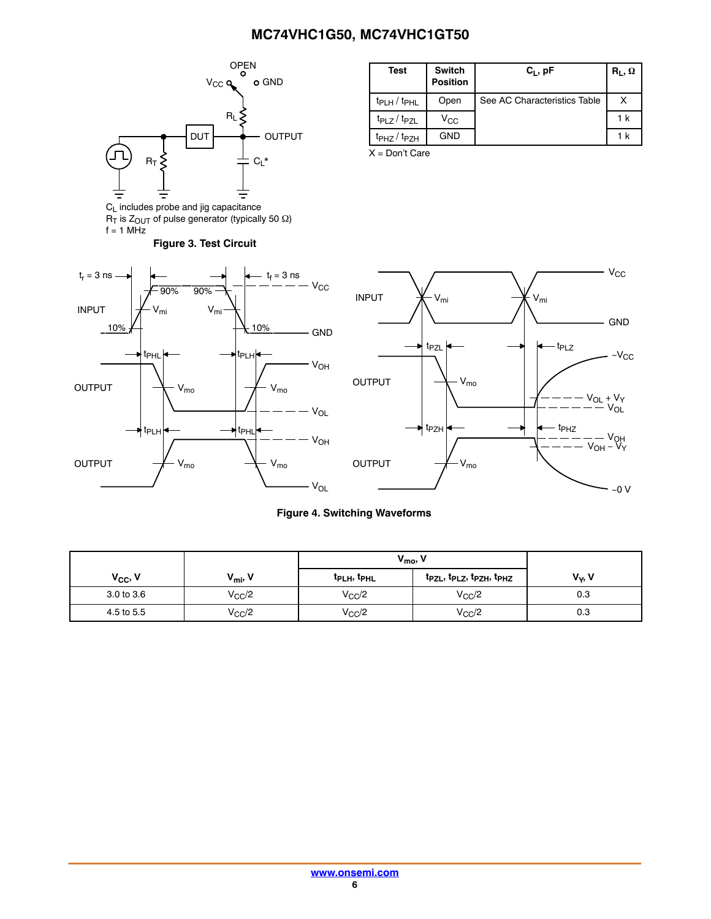<span id="page-5-0"></span>

**Figure 3. Test Circuit**

 $R_{\text{I}}$  is  $Z_{\text{OUT}}$  of pulse generator (typically 50  $\Omega$ )

 $f = 1$  MHz

| <b>Test</b>                         | <b>Switch</b><br><b>Position</b> | $C_1$ , pF                   | $R_1, \Omega$ |
|-------------------------------------|----------------------------------|------------------------------|---------------|
| $t_{PLH}$ / $t_{PHL}$               | Open                             | See AC Characteristics Table |               |
| t <sub>PLZ</sub> / t <sub>PZL</sub> | $V_{\rm CC}$                     |                              | 1 k           |
| t <sub>PHZ</sub> / t <sub>PZH</sub> | GND                              |                              | 1 k           |

X = Don't Care





#### **Figure 4. Switching Waveforms**

|                     |                     | $V_{\text{mo}}$                     |                        |                    |
|---------------------|---------------------|-------------------------------------|------------------------|--------------------|
| V <sub>CC</sub> , V | $V_{\text{mi}}$ , V | t <sub>PLH</sub> , t <sub>PHL</sub> | tpzL, tpLz, tpzH, tpHz | V <sub>Y</sub> , V |
| 3.0 to 3.6          | $V_{CC}/2$          | $V_{CC}/2$                          | $V_{\rm CC}/2$         | 0.3                |
| 4.5 to 5.5          | $V_{\rm CC}/2$      | $V_{CC}/2$                          | $V_{CC}/2$             | 0.3                |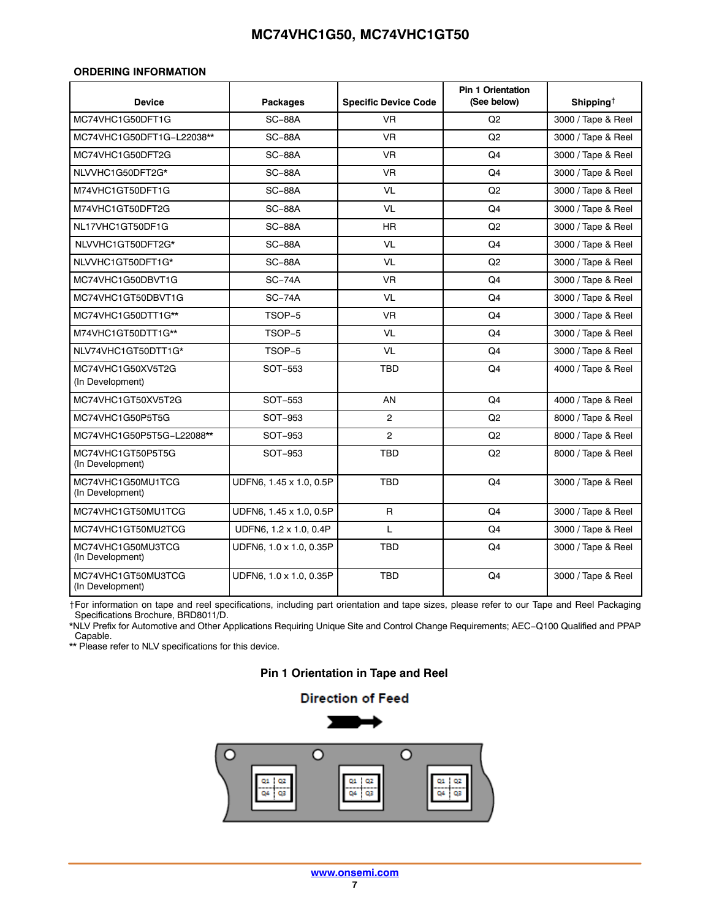#### <span id="page-6-0"></span>**ORDERING INFORMATION**

| <b>Device</b>                          | <b>Packages</b>         | <b>Specific Device Code</b> | <b>Pin 1 Orientation</b><br>(See below) | Shipping <sup><math>\dagger</math></sup> |
|----------------------------------------|-------------------------|-----------------------------|-----------------------------------------|------------------------------------------|
| MC74VHC1G50DFT1G                       | $SC-88A$                | <b>VR</b>                   | Q <sub>2</sub>                          | 3000 / Tape & Reel                       |
| MC74VHC1G50DFT1G-L22038**              | <b>SC-88A</b>           | <b>VR</b>                   | Q2                                      | 3000 / Tape & Reel                       |
| MC74VHC1G50DFT2G                       | <b>SC-88A</b>           | <b>VR</b>                   | Q4                                      | 3000 / Tape & Reel                       |
| NLVVHC1G50DFT2G*                       | <b>SC-88A</b>           | <b>VR</b>                   | Q4                                      | 3000 / Tape & Reel                       |
| M74VHC1GT50DFT1G                       | <b>SC-88A</b>           | <b>VL</b>                   | Q <sub>2</sub>                          | 3000 / Tape & Reel                       |
| M74VHC1GT50DFT2G                       | <b>SC-88A</b>           | VL                          | Q <sub>4</sub>                          | 3000 / Tape & Reel                       |
| NL17VHC1GT50DF1G                       | <b>SC-88A</b>           | HR                          | Q <sub>2</sub>                          | 3000 / Tape & Reel                       |
| NLVVHC1GT50DFT2G*                      | <b>SC-88A</b>           | <b>VL</b>                   | Q4                                      | 3000 / Tape & Reel                       |
| NLVVHC1GT50DFT1G*                      | <b>SC-88A</b>           | <b>VL</b>                   | Q2                                      | 3000 / Tape & Reel                       |
| MC74VHC1G50DBVT1G                      | $SC-74A$                | <b>VR</b>                   | Q <sub>4</sub>                          | 3000 / Tape & Reel                       |
| MC74VHC1GT50DBVT1G                     | $SC-74A$                | <b>VL</b>                   | Q4                                      | 3000 / Tape & Reel                       |
| MC74VHC1G50DTT1G**                     | TSOP-5                  | <b>VR</b>                   | Q4                                      | 3000 / Tape & Reel                       |
| M74VHC1GT50DTT1G**                     | TSOP-5                  | VL                          | Q <sub>4</sub>                          | 3000 / Tape & Reel                       |
| NLV74VHC1GT50DTT1G*                    | TSOP-5                  | <b>VL</b>                   | Q4                                      | 3000 / Tape & Reel                       |
| MC74VHC1G50XV5T2G<br>(In Development)  | SOT-553                 | <b>TBD</b>                  | Q4                                      | 4000 / Tape & Reel                       |
| MC74VHC1GT50XV5T2G                     | SOT-553                 | AN                          | Q <sub>4</sub>                          | 4000 / Tape & Reel                       |
| MC74VHC1G50P5T5G                       | SOT-953                 | $\overline{c}$              | Q2                                      | 8000 / Tape & Reel                       |
| MC74VHC1G50P5T5G-L22088**              | SOT-953                 | $\overline{2}$              | Q <sub>2</sub>                          | 8000 / Tape & Reel                       |
| MC74VHC1GT50P5T5G<br>(In Development)  | SOT-953                 | <b>TBD</b>                  | Q2                                      | 8000 / Tape & Reel                       |
| MC74VHC1G50MU1TCG<br>(In Development)  | UDFN6, 1.45 x 1.0, 0.5P | <b>TBD</b>                  | Q <sub>4</sub>                          | 3000 / Tape & Reel                       |
| MC74VHC1GT50MU1TCG                     | UDFN6, 1.45 x 1.0, 0.5P | $\mathsf{R}$                | Q4                                      | 3000 / Tape & Reel                       |
| MC74VHC1GT50MU2TCG                     | UDFN6, 1.2 x 1.0, 0.4P  | L                           | Q4                                      | 3000 / Tape & Reel                       |
| MC74VHC1G50MU3TCG<br>(In Development)  | UDFN6, 1.0 x 1.0, 0.35P | <b>TBD</b>                  | Q4                                      | 3000 / Tape & Reel                       |
| MC74VHC1GT50MU3TCG<br>(In Development) | UDFN6, 1.0 x 1.0, 0.35P | <b>TBD</b>                  | Q4                                      | 3000 / Tape & Reel                       |

†For information on tape and reel specifications, including part orientation and tape sizes, please refer to our Tape and Reel Packaging Specifications Brochure, BRD8011/D.

\*NLV Prefix for Automotive and Other Applications Requiring Unique Site and Control Change Requirements; AEC−Q100 Qualified and PPAP Capable.

\*\* Please refer to NLV specifications for this device.

## **Pin 1 Orientation in Tape and Reel**

## **Direction of Feed**

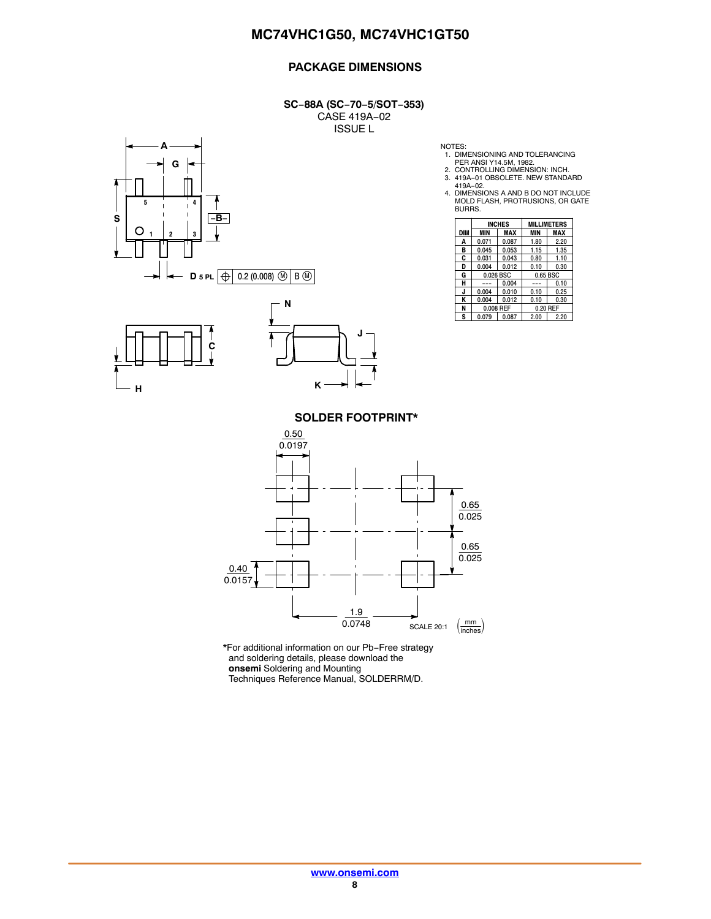## **PACKAGE DIMENSIONS**

**SC−88A (SC−70−5/SOT−353)** CASE 419A−02 ISSUE L







NOTES:

1. DIMENSIONING AND TOLERANCING PER ANSI Y14.5M, 1982. 2. CONTROLLING DIMENSION: INCH.

3. 419A−01 OBSOLETE. NEW STANDARD

419A−02. 4. DIMENSIONS A AND B DO NOT INCLUDE MOLD FLASH, PROTRUSIONS, OR GATE BURRS.

|     | <b>INCHES</b> |       | <b>MILLIMETERS</b> |      |  |
|-----|---------------|-------|--------------------|------|--|
| DIM | <b>MIN</b>    | MAX   | <b>MIN</b>         | MAX  |  |
| Α   | 0.071         | 0.087 | 1.80               | 2.20 |  |
| в   | 0.045         | 0.053 | 1.15               | 1.35 |  |
| C   | 0.031         | 0.043 | 0.80               | 1.10 |  |
| D   | 0.004         | 0.012 | 0.10               | 0.30 |  |
| G   | 0.026 BSC     |       | 0.65 BSC           |      |  |
| н   |               | 0.004 |                    | 0.10 |  |
| J   | 0.004         | 0.010 | 0.10               | 0.25 |  |
| ĸ   | 0.004         | 0.012 | 0.10               | 0.30 |  |
| N   | 0.008 REF     |       | 0.20 REF           |      |  |
| S   | 0.079         | 0.087 | 2.00               | 2.20 |  |

**SOLDER FOOTPRINT\***



\*For additional information on our Pb−Free strategy and soldering details, please download the **onsemi** Soldering and Mounting Techniques Reference Manual, SOLDERRM/D.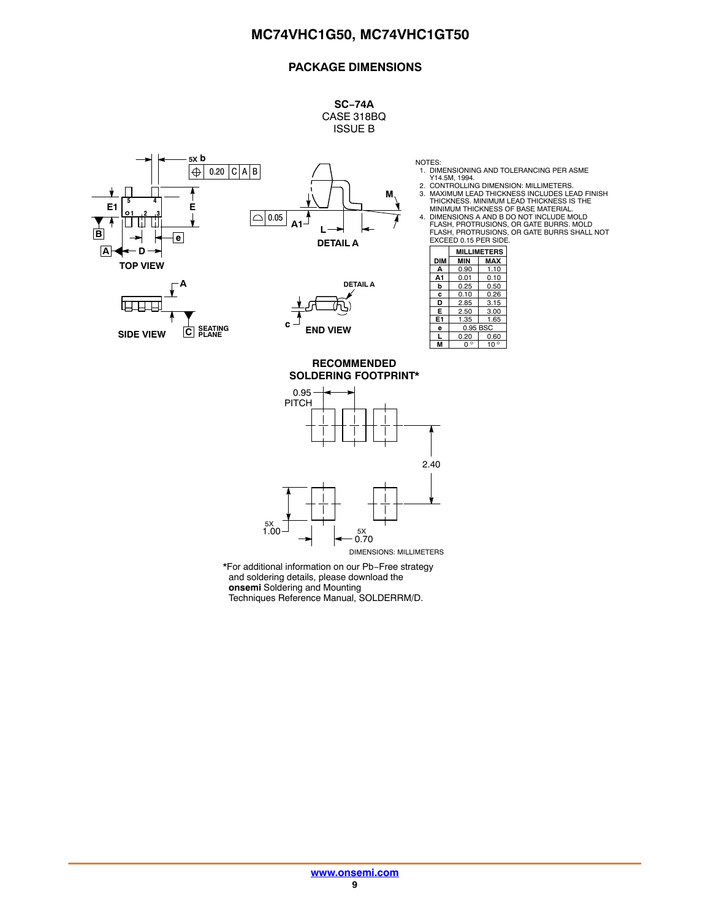## **PACKAGE DIMENSIONS**

**SC−74A** CASE 318BQ ISSUE B

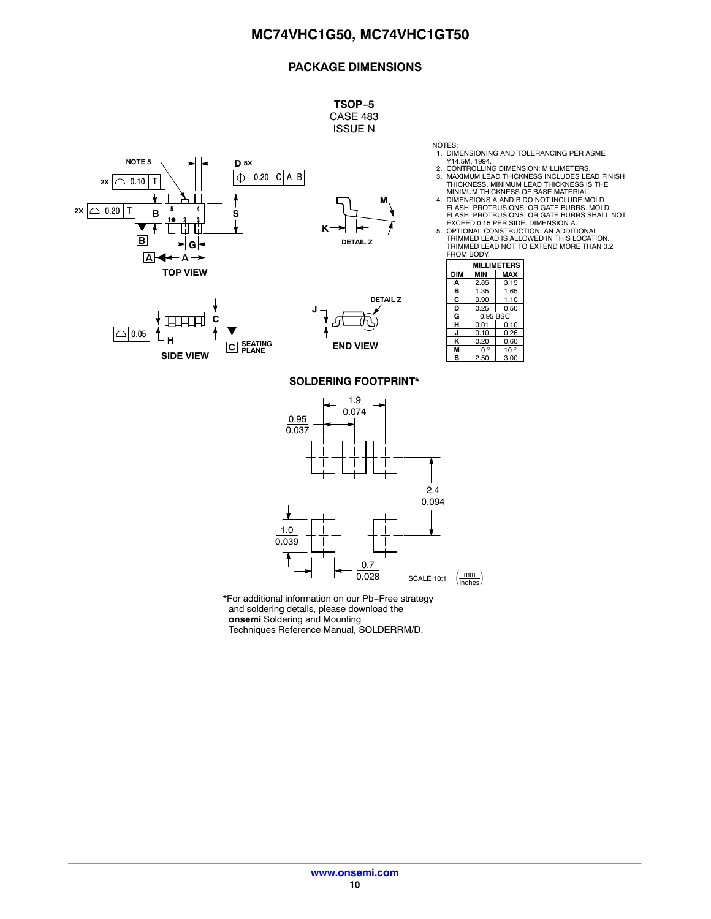## **PACKAGE DIMENSIONS**

**TSOP−5** CASE 483 ISSUE N

**NOTE 5 D 5X** 0.20 <sup>C</sup> A B **2X** 0.10 <sup>T</sup>  $2x \cap 0.20$  T **5 4 S B 1 23**  $\mathsf{L}$ **B G A A TOP VIEW**



1. DIMENSIONING AND TOLERANCING PER ASME Y14.5M, 1994. 2. CONTROLLING DIMENSION: MILLIMETERS.

3. MAXIMUM LEAD THICKNESS INCLUDES LEAD FINISH THICKNESS. MINIMUM LEAD THICKNESS IS THE MINIMUM THICKNESS OF BASE MATERIAL. 4. DIMENSIONS A AND B DO NOT INCLUDE MOLD

FLASH, PROTRUSIONS, OR GATE BURRS. MOLD FLASH, PROTRUSIONS, OR GATE BURRS SHALL NOT EXCEED 0.15 PER SIDE. DIMENSION A. 5. OPTIONAL CONSTRUCTION: AN ADDITIONAL

TRIMMED LEAD IS ALLOWED IN THIS LOCATION. TRIMMED LEAD NOT TO EXTEND MORE THAN 0.2 FROM BODY.

|     | <b>MILLIMETERS</b>           |      |  |
|-----|------------------------------|------|--|
| DIM | MIN                          | MAX  |  |
| А   | 2.85                         | 3.15 |  |
| в   | 1.35                         | 1.65 |  |
| С   | 0.90                         | 1.10 |  |
| D   | 0.25                         | 0.50 |  |
| G   | 0.95 BSC                     |      |  |
| н   | 0.01<br>0.10                 |      |  |
| J   | 0.10<br>0.26                 |      |  |
| ĸ   | 0.20<br>0.60                 |      |  |
| м   | $\circ$<br>$10^{\circ}$<br>ŋ |      |  |
| s   | 3.00<br>2.50                 |      |  |

NOTES:





#### **SOLDERING FOOTPRINT\***



\*For additional information on our Pb−Free strategy and soldering details, please download the **onsemi** Soldering and Mounting

Techniques Reference Manual, SOLDERRM/D.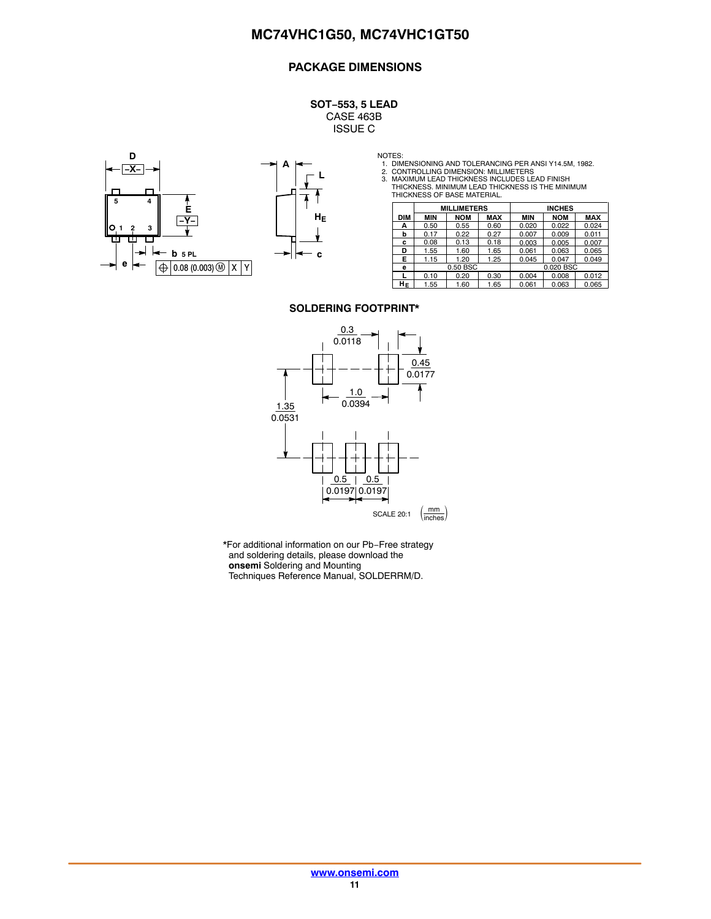## **PACKAGE DIMENSIONS**

**SOT−553, 5 LEAD** CASE 463B ISSUE C





NOTES:<br>1. DIMENSIONING AND TOLERANCING PER ANSI Y14.5M, 1982.<br>2. CONTROLLING DIMENSION: MILLIMETERS<br>3. MAXIMUM LEAD THICKNESS INCLUDES LEAD FINISH<br>THICKNESS. MINIMUM LEAD THICKNESS IS THE MINIMUM<br>THICKNESS OF BASE MATERIAL

|            | <b>MILLIMETERS</b> |            |            | <b>INCHES</b> |            |            |
|------------|--------------------|------------|------------|---------------|------------|------------|
| <b>DIM</b> | <b>MIN</b>         | <b>NOM</b> | <b>MAX</b> | MIN           | <b>NOM</b> | <b>MAX</b> |
| А          | 0.50               | 0.55       | 0.60       | 0.020         | 0.022      | 0.024      |
| b          | 0.17               | 0.22       | 0.27       | 0.007         | 0.009      | 0.011      |
| c          | 0.08               | 0.13       | 0.18       | 0.003         | 0.005      | 0.007      |
| D          | 1.55               | 1.60       | 1.65       | 0.061         | 0.063      | 0.065      |
| Е.         | 1.15               | 1.20       | 1.25       | 0.045         | 0.047      | 0.049      |
| е          | 0.50 BSC           |            | 0.020 BSC  |               |            |            |
|            | 0.10               | 0.20       | 0.30       | 0.004         | 0.008      | 0.012      |
| HΕ         | 1.55               | 1.60       | 1.65       | 0.061         | 0.063      | 0.065      |

#### **SOLDERING FOOTPRINT\***



\*For additional information on our Pb−Free strategy and soldering details, please download the **onsemi** Soldering and Mounting Techniques Reference Manual, SOLDERRM/D.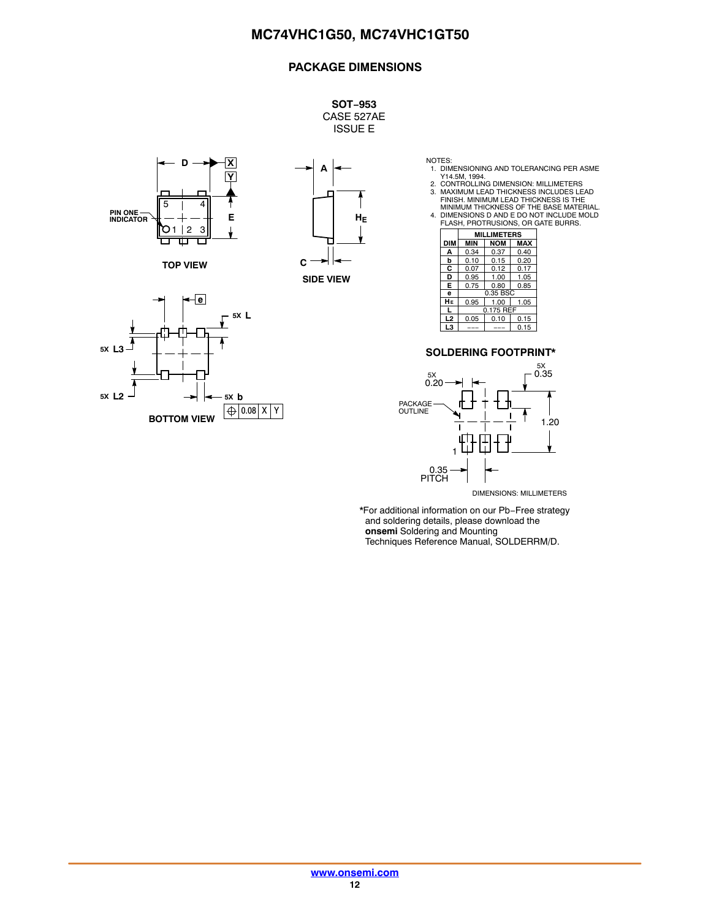## **PACKAGE DIMENSIONS**

**SOT−953** CASE 527AE ISSUE E



**TOP VIEW**





NOTES: 1. DIMENSIONING AND TOLERANCING PER ASME

Y14.5M, 1994.<br>2. CONTROLLING DIMENSION: MILLIMETERS<br>3. MAXIMUM LEAD THICKNESS INCLUDES LEAD<br>FINISH. MINIMUM LEAD THICKNESS IS THE<br>4. DIMENSIONS D AND E DO NOT INCLUDE MOLD<br>4. FLASH, PROTRUSIONS, OR GATE BURRS.

|                | <b>MILLIMETERS</b> |            |            |
|----------------|--------------------|------------|------------|
| <b>DIM</b>     | <b>MIN</b>         | <b>NOM</b> | <b>MAX</b> |
| А              | 0.34               | 0.37       | 0.40       |
| b              | 0.10               | 0.15       | 0.20       |
| C              | 0.07               | 0.12       | 0.17       |
| D              | 0.95               | 1.00       | 1.05       |
| E              | 0.75               | 0.80       | 0.85       |
| e              | 0.35 BSC           |            |            |
| HЕ             | 0.95               | 1.00       | 1.05       |
| $\mathbf{I}$   | 0.175 REF          |            |            |
| L <sub>2</sub> | 0.05               | 0.10       | 0.15       |
| L3             |                    |            | 0.15       |

#### **SOLDERING FOOTPRINT\***



DIMENSIONS: MILLIMETERS

\*For additional information on our Pb−Free strategy and soldering details, please download the **onsemi** Soldering and Mounting Techniques Reference Manual, SOLDERRM/D.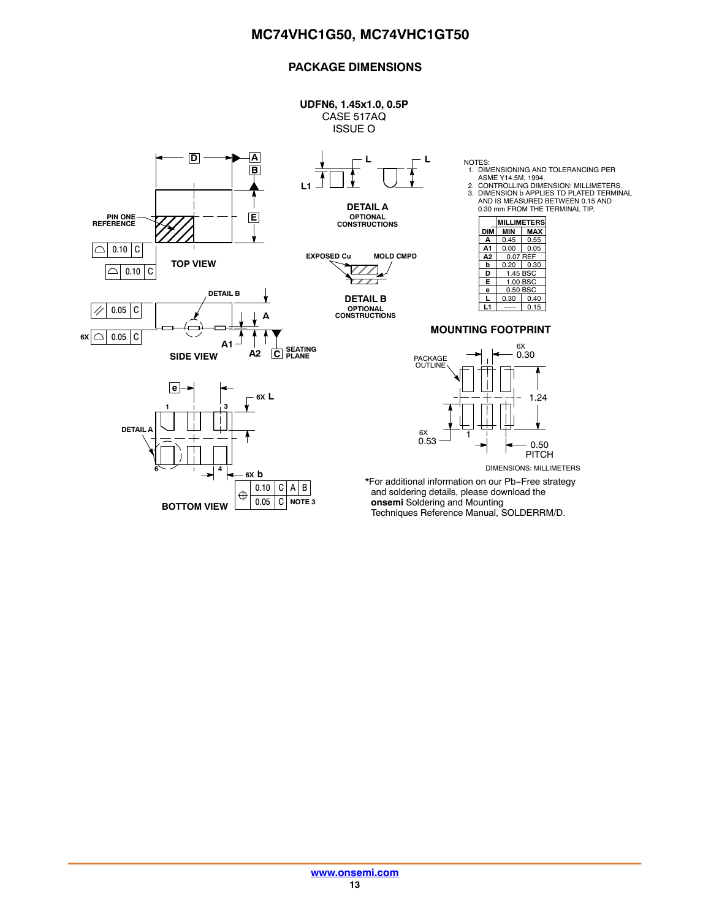## **PACKAGE DIMENSIONS**

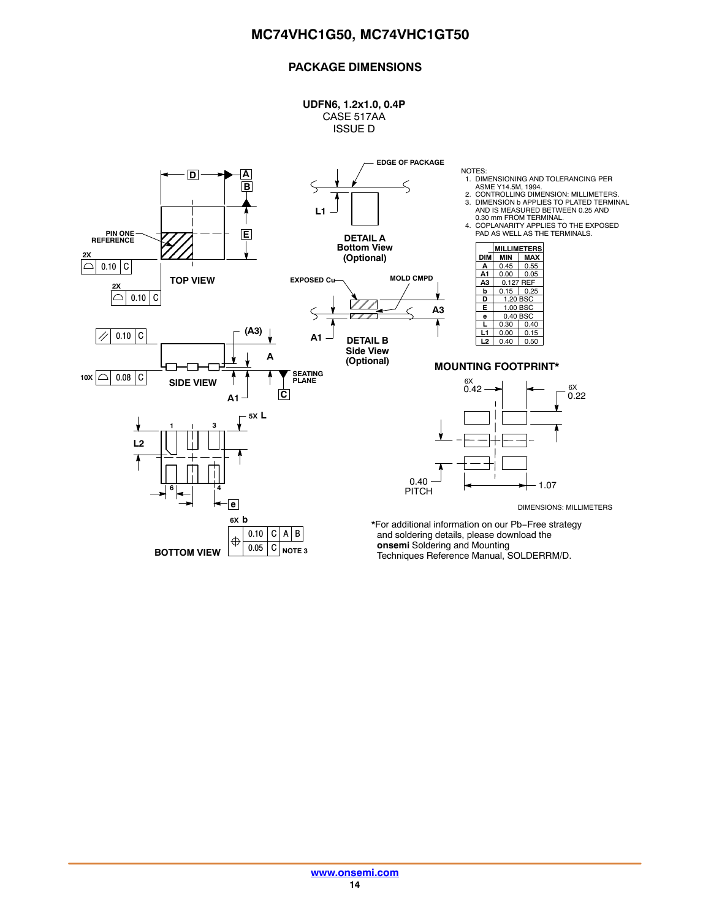## **PACKAGE DIMENSIONS**

**UDFN6, 1.2x1.0, 0.4P** CASE 517AA ISSUE D